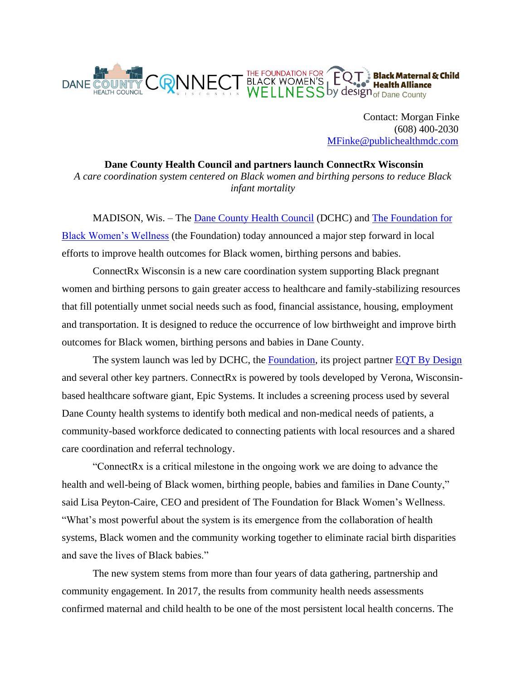

 Contact: Morgan Finke (608) 400-2030 [MFinke@publichealthmdc.com](mailto:MFinke@publichealthmdc.com)

**Dane County Health Council and partners launch ConnectRx Wisconsin** *A care coordination system centered on Black women and birthing persons to reduce Black infant mortality*

MADISON, Wis. – The [Dane County Health Council](https://www.danecountyhealthcouncil.com/) (DCHC) and [The Foundation for](https://www.ffbww.org/)  [Black Women's Wellness](https://www.ffbww.org/) (the Foundation) today announced a major step forward in local efforts to improve health outcomes for Black women, birthing persons and babies.

ConnectRx Wisconsin is a new care coordination system supporting Black pregnant women and birthing persons to gain greater access to healthcare and family-stabilizing resources that fill potentially unmet social needs such as food, financial assistance, housing, employment and transportation. It is designed to reduce the occurrence of low birthweight and improve birth outcomes for Black women, birthing persons and babies in Dane County.

The system launch was led by DCHC, the [Foundation,](https://www.ffbww.org/) its project partner [EQT By Design](https://www.eqtbydesign.com/) and several other key partners. ConnectRx is powered by tools developed by Verona, Wisconsinbased healthcare software giant, Epic Systems. It includes a screening process used by several Dane County health systems to identify both medical and non-medical needs of patients, a community-based workforce dedicated to connecting patients with local resources and a shared care coordination and referral technology.

"ConnectRx is a critical milestone in the ongoing work we are doing to advance the health and well-being of Black women, birthing people, babies and families in Dane County," said Lisa Peyton-Caire, CEO and president of The Foundation for Black Women's Wellness. "What's most powerful about the system is its emergence from the collaboration of health systems, Black women and the community working together to eliminate racial birth disparities and save the lives of Black babies."

The new system stems from more than four years of data gathering, partnership and community engagement. In 2017, the results from community health needs assessments confirmed maternal and child health to be one of the most persistent local health concerns. The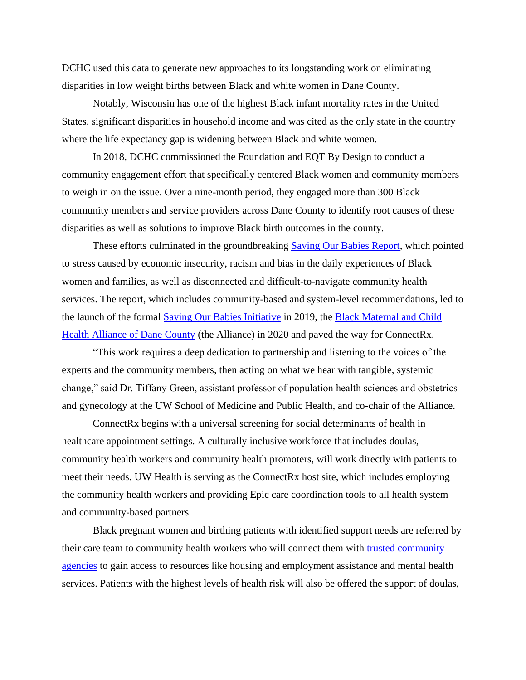DCHC used this data to generate new approaches to its longstanding work on eliminating disparities in low weight births between Black and white women in Dane County.

Notably, Wisconsin has one of the highest Black infant mortality rates in the United States, significant disparities in household income and was cited as the only state in the country where the life expectancy gap is widening between Black and white women.

In 2018, DCHC commissioned the Foundation and EQT By Design to conduct a community engagement effort that specifically centered Black women and community members to weigh in on the issue. Over a nine-month period, they engaged more than 300 Black community members and service providers across Dane County to identify root causes of these disparities as well as solutions to improve Black birth outcomes in the county.

These efforts culminated in the groundbreaking **Saving Our Babies Re[p](https://ffbww.org/savingourbabies/)ort**, which pointed to stress caused by economic insecurity, racism and bias in the daily experiences of Black women and families, as well as disconnected and difficult-to-navigate community health services. The report, which includes community-based and system-level recommendations, led to the launch of the formal [Saving Our Babies Initiative](https://www.savingourbabieswi.org/) in 2019, the [Black Maternal and Child](https://www.bmcha.org/) [Health Alliance of Dane County](https://www.bmcha.org/) (the Alliance) in 2020 and paved the way for ConnectRx.

"This work requires a deep dedication to partnership and listening to the voices of the experts and the community members, then acting on what we hear with tangible, systemic change," said Dr. Tiffany Green, assistant professor of population health sciences and obstetrics and gynecology at the UW School of Medicine and Public Health, and co-chair of the Alliance.

ConnectRx begins with a universal screening for social determinants of health in healthcare appointment settings. A culturally inclusive workforce that includes doulas, community health workers and community health promoters, will work directly with patients to meet their needs. UW Health is serving as the ConnectRx host site, which includes employing the community health workers and providing Epic care coordination tools to all health system and community-based partners.

Black pregnant women and birthing patients with identified support needs are referred by their care team to community health workers who will connect them with [trusted community](https://www.savingourbabieswi.org/resources)  [agencies](https://www.savingourbabieswi.org/resources) to gain access to resources like housing and employment assistance and mental health services. Patients with the highest levels of health risk will also be offered the support of doulas,